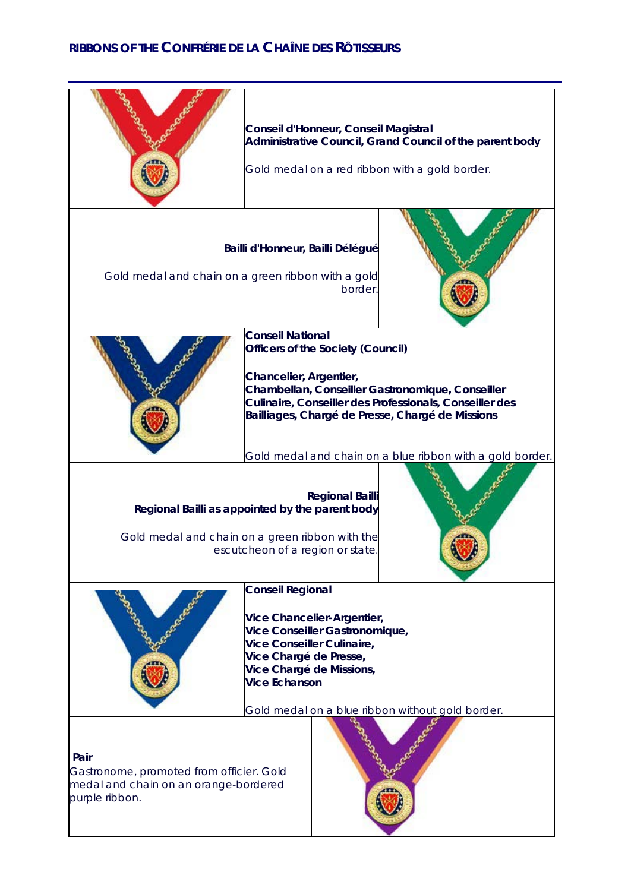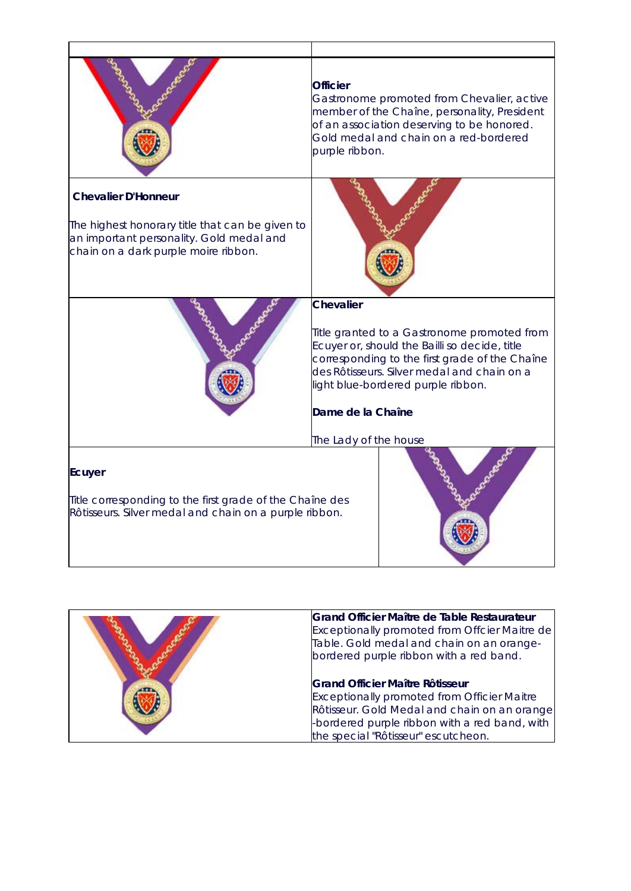|                                                          | <b>Officier</b><br>Gastronome promoted from Chevalier, active<br>member of the Chaîne, personality, President<br>of an association deserving to be honored.<br>Gold medal and chain on a red-bordered<br>purple ribbon.             |
|----------------------------------------------------------|-------------------------------------------------------------------------------------------------------------------------------------------------------------------------------------------------------------------------------------|
| <b>Chevalier D'Honneur</b>                               |                                                                                                                                                                                                                                     |
| The highest honorary title that can be given to          |                                                                                                                                                                                                                                     |
| an important personality. Gold medal and                 |                                                                                                                                                                                                                                     |
| chain on a dark purple moire ribbon.                     |                                                                                                                                                                                                                                     |
|                                                          | <b>Chevalier</b>                                                                                                                                                                                                                    |
|                                                          | Title granted to a Gastronome promoted from<br>Ecuyer or, should the Bailli so decide, title<br>corresponding to the first grade of the Chaîne<br>des Rôtisseurs. Silver medal and chain on a<br>light blue-bordered purple ribbon. |
|                                                          | Dame de la Chaîne                                                                                                                                                                                                                   |
|                                                          | The Lady of the house                                                                                                                                                                                                               |
|                                                          |                                                                                                                                                                                                                                     |
| Ecuyer                                                   |                                                                                                                                                                                                                                     |
| Title corresponding to the first grade of the Chaîne des |                                                                                                                                                                                                                                     |
| Rôtisseurs. Silver medal and chain on a purple ribbon.   |                                                                                                                                                                                                                                     |
|                                                          |                                                                                                                                                                                                                                     |

Т

Г

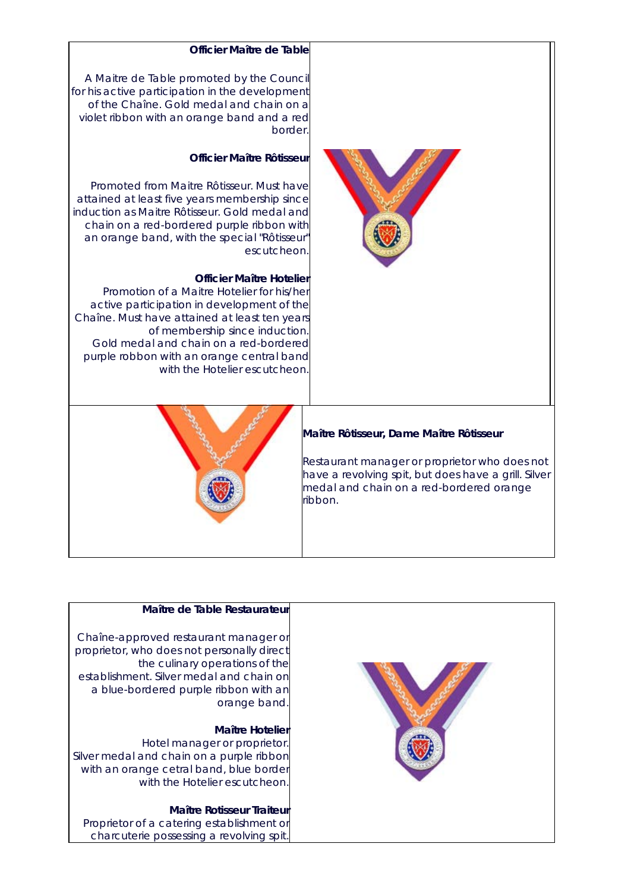